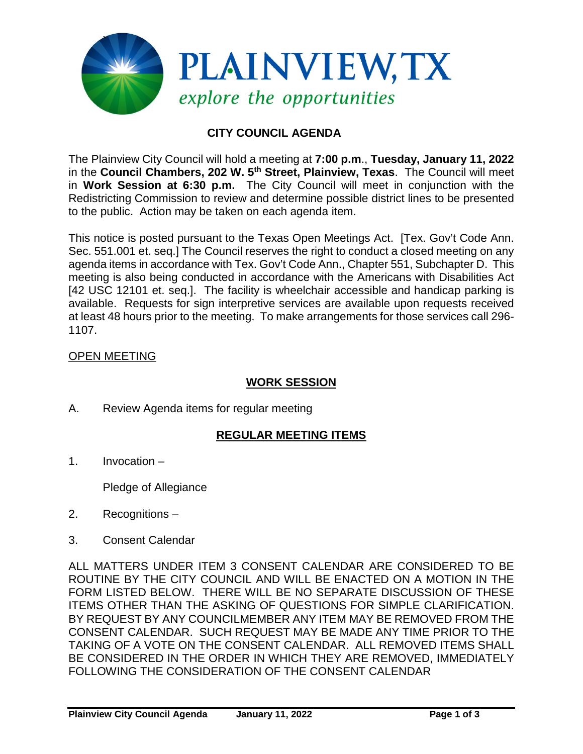

# **CITY COUNCIL AGENDA**

The Plainview City Council will hold a meeting at **7:00 p.m**., **Tuesday, January 11, 2022** in the **Council Chambers, 202 W. 5th Street, Plainview, Texas**. The Council will meet in **Work Session at 6:30 p.m.** The City Council will meet in conjunction with the Redistricting Commission to review and determine possible district lines to be presented to the public. Action may be taken on each agenda item.

This notice is posted pursuant to the Texas Open Meetings Act. [Tex. Gov't Code Ann. Sec. 551.001 et. seq.] The Council reserves the right to conduct a closed meeting on any agenda items in accordance with Tex. Gov't Code Ann., Chapter 551, Subchapter D. This meeting is also being conducted in accordance with the Americans with Disabilities Act [42 USC 12101 et. seg.]. The facility is wheelchair accessible and handicap parking is available. Requests for sign interpretive services are available upon requests received at least 48 hours prior to the meeting. To make arrangements for those services call 296- 1107.

## OPEN MEETING

# **WORK SESSION**

A. Review Agenda items for regular meeting

## **REGULAR MEETING ITEMS**

1. Invocation –

Pledge of Allegiance

- 2. Recognitions –
- 3. Consent Calendar

ALL MATTERS UNDER ITEM 3 CONSENT CALENDAR ARE CONSIDERED TO BE ROUTINE BY THE CITY COUNCIL AND WILL BE ENACTED ON A MOTION IN THE FORM LISTED BELOW. THERE WILL BE NO SEPARATE DISCUSSION OF THESE ITEMS OTHER THAN THE ASKING OF QUESTIONS FOR SIMPLE CLARIFICATION. BY REQUEST BY ANY COUNCILMEMBER ANY ITEM MAY BE REMOVED FROM THE CONSENT CALENDAR. SUCH REQUEST MAY BE MADE ANY TIME PRIOR TO THE TAKING OF A VOTE ON THE CONSENT CALENDAR. ALL REMOVED ITEMS SHALL BE CONSIDERED IN THE ORDER IN WHICH THEY ARE REMOVED, IMMEDIATELY FOLLOWING THE CONSIDERATION OF THE CONSENT CALENDAR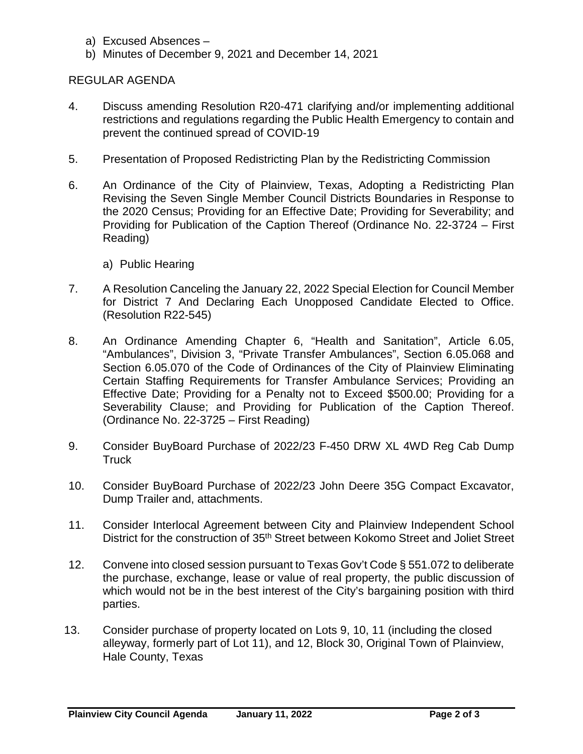- a) Excused Absences –
- b) Minutes of December 9, 2021 and December 14, 2021

#### REGULAR AGENDA

- 4. Discuss amending Resolution R20-471 clarifying and/or implementing additional restrictions and regulations regarding the Public Health Emergency to contain and prevent the continued spread of COVID-19
- 5. Presentation of Proposed Redistricting Plan by the Redistricting Commission
- 6. An Ordinance of the City of Plainview, Texas, Adopting a Redistricting Plan Revising the Seven Single Member Council Districts Boundaries in Response to the 2020 Census; Providing for an Effective Date; Providing for Severability; and Providing for Publication of the Caption Thereof (Ordinance No. 22-3724 – First Reading)
	- a) Public Hearing
- 7. A Resolution Canceling the January 22, 2022 Special Election for Council Member for District 7 And Declaring Each Unopposed Candidate Elected to Office. (Resolution R22-545)
- 8. An Ordinance Amending Chapter 6, "Health and Sanitation", Article 6.05, "Ambulances", Division 3, "Private Transfer Ambulances", Section 6.05.068 and Section 6.05.070 of the Code of Ordinances of the City of Plainview Eliminating Certain Staffing Requirements for Transfer Ambulance Services; Providing an Effective Date; Providing for a Penalty not to Exceed \$500.00; Providing for a Severability Clause; and Providing for Publication of the Caption Thereof. (Ordinance No. 22-3725 – First Reading)
- 9. Consider BuyBoard Purchase of 2022/23 F-450 DRW XL 4WD Reg Cab Dump **Truck**
- 10. Consider BuyBoard Purchase of 2022/23 John Deere 35G Compact Excavator, Dump Trailer and, attachments.
- 11. Consider Interlocal Agreement between City and Plainview Independent School District for the construction of 35<sup>th</sup> Street between Kokomo Street and Joliet Street
- 12. Convene into closed session pursuant to Texas Gov't Code § 551.072 to deliberate the purchase, exchange, lease or value of real property, the public discussion of which would not be in the best interest of the City's bargaining position with third parties.
- 13. Consider purchase of property located on Lots 9, 10, 11 (including the closed alleyway, formerly part of Lot 11), and 12, Block 30, Original Town of Plainview, Hale County, Texas